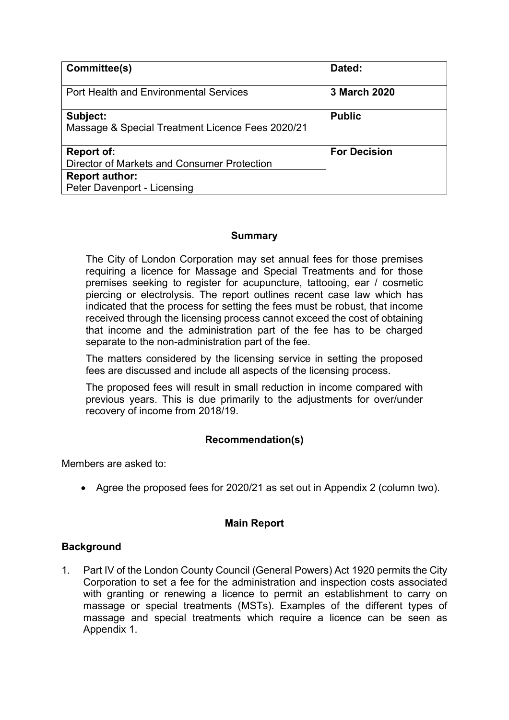| Committee(s)                                                                                                             | Dated:              |
|--------------------------------------------------------------------------------------------------------------------------|---------------------|
| <b>Port Health and Environmental Services</b>                                                                            | <b>3 March 2020</b> |
| Subject:<br>Massage & Special Treatment Licence Fees 2020/21                                                             | <b>Public</b>       |
| <b>Report of:</b><br>Director of Markets and Consumer Protection<br><b>Report author:</b><br>Peter Davenport - Licensing | <b>For Decision</b> |

### **Summary**

The City of London Corporation may set annual fees for those premises requiring a licence for Massage and Special Treatments and for those premises seeking to register for acupuncture, tattooing, ear / cosmetic piercing or electrolysis. The report outlines recent case law which has indicated that the process for setting the fees must be robust, that income received through the licensing process cannot exceed the cost of obtaining that income and the administration part of the fee has to be charged separate to the non-administration part of the fee.

The matters considered by the licensing service in setting the proposed fees are discussed and include all aspects of the licensing process.

The proposed fees will result in small reduction in income compared with previous years. This is due primarily to the adjustments for over/under recovery of income from 2018/19.

## **Recommendation(s)**

Members are asked to:

Agree the proposed fees for 2020/21 as set out in Appendix 2 (column two).

## **Main Report**

## **Background**

1. Part IV of the London County Council (General Powers) Act 1920 permits the City Corporation to set a fee for the administration and inspection costs associated with granting or renewing a licence to permit an establishment to carry on massage or special treatments (MSTs). Examples of the different types of massage and special treatments which require a licence can be seen as Appendix 1.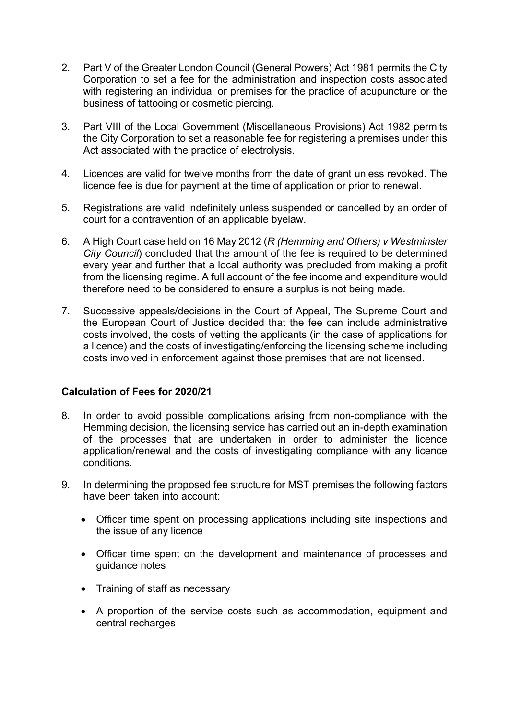- 2. Part V of the Greater London Council (General Powers) Act 1981 permits the City Corporation to set a fee for the administration and inspection costs associated with registering an individual or premises for the practice of acupuncture or the business of tattooing or cosmetic piercing.
- 3. Part VIII of the Local Government (Miscellaneous Provisions) Act 1982 permits the City Corporation to set a reasonable fee for registering a premises under this Act associated with the practice of electrolysis.
- 4. Licences are valid for twelve months from the date of grant unless revoked. The licence fee is due for payment at the time of application or prior to renewal.
- 5. Registrations are valid indefinitely unless suspended or cancelled by an order of court for a contravention of an applicable byelaw.
- 6. A High Court case held on 16 May 2012 (*R (Hemming and Others) v Westminster City Council*) concluded that the amount of the fee is required to be determined every year and further that a local authority was precluded from making a profit from the licensing regime. A full account of the fee income and expenditure would therefore need to be considered to ensure a surplus is not being made.
- 7. Successive appeals/decisions in the Court of Appeal, The Supreme Court and the European Court of Justice decided that the fee can include administrative costs involved, the costs of vetting the applicants (in the case of applications for a licence) and the costs of investigating/enforcing the licensing scheme including costs involved in enforcement against those premises that are not licensed.

## **Calculation of Fees for 2020/21**

- 8. In order to avoid possible complications arising from non-compliance with the Hemming decision, the licensing service has carried out an in-depth examination of the processes that are undertaken in order to administer the licence application/renewal and the costs of investigating compliance with any licence conditions.
- 9. In determining the proposed fee structure for MST premises the following factors have been taken into account:
	- Officer time spent on processing applications including site inspections and the issue of any licence
	- Officer time spent on the development and maintenance of processes and guidance notes
	- Training of staff as necessary
	- A proportion of the service costs such as accommodation, equipment and central recharges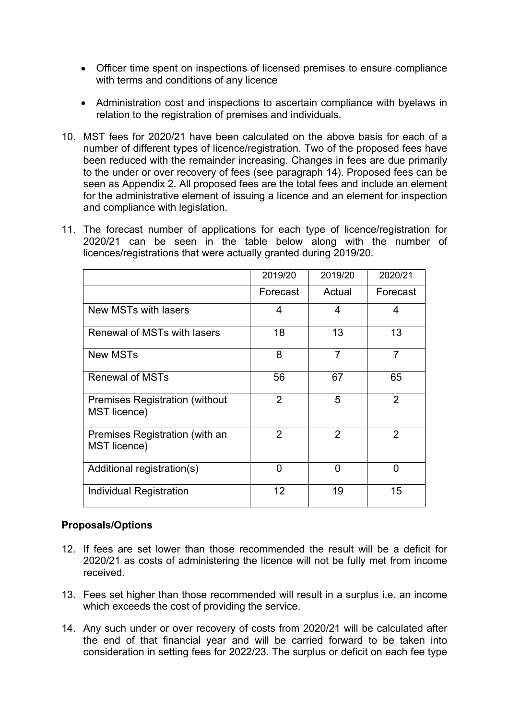- Officer time spent on inspections of licensed premises to ensure compliance with terms and conditions of any licence
- Administration cost and inspections to ascertain compliance with byelaws in relation to the registration of premises and individuals.
- 10. MST fees for 2020/21 have been calculated on the above basis for each of a number of different types of licence/registration. Two of the proposed fees have been reduced with the remainder increasing. Changes in fees are due primarily to the under or over recovery of fees (see paragraph 14). Proposed fees can be seen as Appendix 2. All proposed fees are the total fees and include an element for the administrative element of issuing a licence and an element for inspection and compliance with legislation.
- 11. The forecast number of applications for each type of licence/registration for 2020/21 can be seen in the table below along with the number of licences/registrations that were actually granted during 2019/20.

|                                                               | 2019/20        | 2019/20 | 2020/21        |
|---------------------------------------------------------------|----------------|---------|----------------|
|                                                               | Forecast       | Actual  | Forecast       |
| New MSTs with lasers                                          | 4              | 4       | 4              |
| Renewal of MSTs with lasers                                   | 18             | 13      | 13             |
| <b>New MSTs</b>                                               | 8              | 7       | $\overline{7}$ |
| <b>Renewal of MSTs</b>                                        | 56             | 67      | 65             |
| <b>Premises Registration (without)</b><br><b>MST</b> licence) | $\overline{2}$ | 5       | $\overline{2}$ |
| Premises Registration (with an<br><b>MST</b> licence)         | $\overline{2}$ | 2       | 2              |
| Additional registration(s)                                    | 0              | n       | ∩              |
| <b>Individual Registration</b>                                | 12             | 19      | 15             |

## **Proposals/Options**

- 12. If fees are set lower than those recommended the result will be a deficit for 2020/21 as costs of administering the licence will not be fully met from income received.
- 13. Fees set higher than those recommended will result in a surplus i.e. an income which exceeds the cost of providing the service.
- 14. Any such under or over recovery of costs from 2020/21 will be calculated after the end of that financial year and will be carried forward to be taken into consideration in setting fees for 2022/23. The surplus or deficit on each fee type